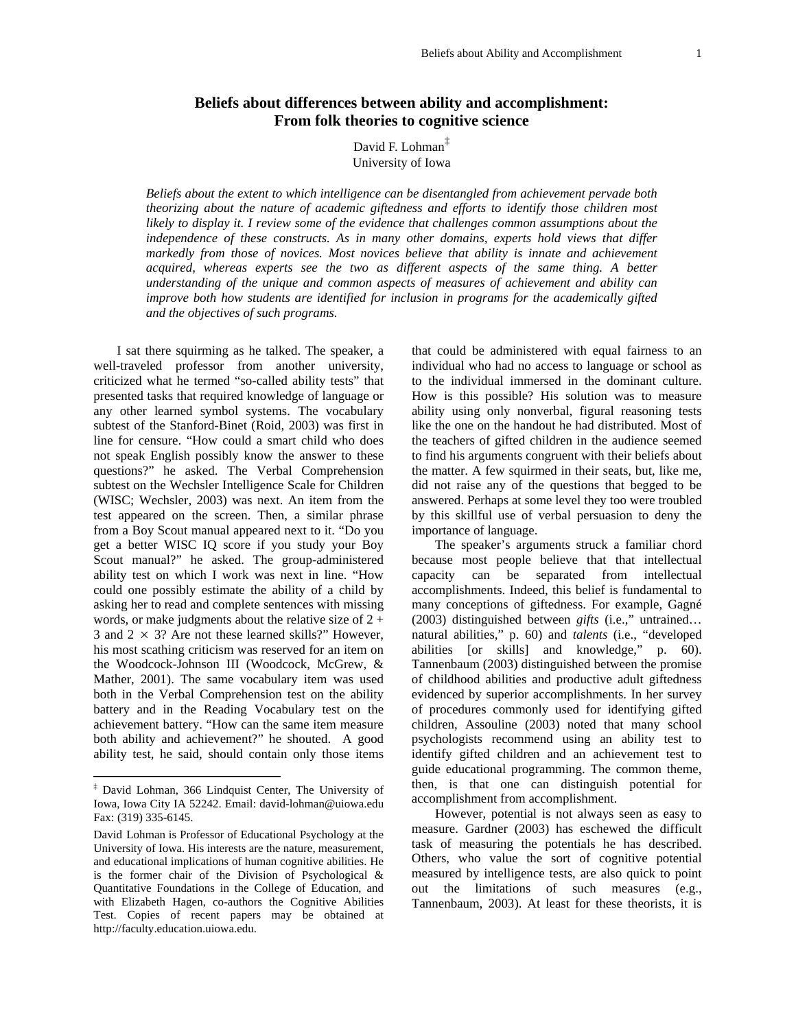# **Beliefs about differences between ability and accomplishment: From folk theories to cognitive science**

David F. Lohman<sup>[‡](#page-0-0)</sup> University of Iowa

*Beliefs about the extent to which intelligence can be disentangled from achievement pervade both theorizing about the nature of academic giftedness and efforts to identify those children most likely to display it. I review some of the evidence that challenges common assumptions about the independence of these constructs. As in many other domains, experts hold views that differ markedly from those of novices. Most novices believe that ability is innate and achievement acquired, whereas experts see the two as different aspects of the same thing. A better understanding of the unique and common aspects of measures of achievement and ability can improve both how students are identified for inclusion in programs for the academically gifted and the objectives of such programs.* 

I sat there squirming as he talked. The speaker, a well-traveled professor from another university, criticized what he termed "so-called ability tests" that presented tasks that required knowledge of language or any other learned symbol systems. The vocabulary subtest of the Stanford-Binet (Roid, 2003) was first in line for censure. "How could a smart child who does not speak English possibly know the answer to these questions?" he asked. The Verbal Comprehension subtest on the Wechsler Intelligence Scale for Children (WISC; Wechsler, 2003) was next. An item from the test appeared on the screen. Then, a similar phrase from a Boy Scout manual appeared next to it. "Do you get a better WISC IQ score if you study your Boy Scout manual?" he asked. The group-administered ability test on which I work was next in line. "How could one possibly estimate the ability of a child by asking her to read and complete sentences with missing words, or make judgments about the relative size of  $2 +$ 3 and  $2 \times 3$ ? Are not these learned skills?" However, his most scathing criticism was reserved for an item on the Woodcock-Johnson III (Woodcock, McGrew, & Mather, 2001). The same vocabulary item was used both in the Verbal Comprehension test on the ability battery and in the Reading Vocabulary test on the achievement battery. "How can the same item measure both ability and achievement?" he shouted. A good ability test, he said, should contain only those items that could be administered with equal fairness to an individual who had no access to language or school as to the individual immersed in the dominant culture. How is this possible? His solution was to measure ability using only nonverbal, figural reasoning tests like the one on the handout he had distributed. Most of the teachers of gifted children in the audience seemed to find his arguments congruent with their beliefs about the matter. A few squirmed in their seats, but, like me, did not raise any of the questions that begged to be answered. Perhaps at some level they too were troubled by this skillful use of verbal persuasion to deny the importance of language.

The speaker's arguments struck a familiar chord because most people believe that that intellectual capacity can be separated from intellectual accomplishments. Indeed, this belief is fundamental to many conceptions of giftedness. For example, Gagné (2003) distinguished between *gifts* (i.e.," untrained… natural abilities," p. 60) and *talents* (i.e., "developed abilities [or skills] and knowledge," p. 60). Tannenbaum (2003) distinguished between the promise of childhood abilities and productive adult giftedness evidenced by superior accomplishments. In her survey of procedures commonly used for identifying gifted children, Assouline (2003) noted that many school psychologists recommend using an ability test to identify gifted children and an achievement test to guide educational programming. The common theme, then, is that one can distinguish potential for accomplishment from accomplishment.

However, potential is not always seen as easy to measure. Gardner (2003) has eschewed the difficult task of measuring the potentials he has described. Others, who value the sort of cognitive potential measured by intelligence tests, are also quick to point out the limitations of such measures (e.g., Tannenbaum, 2003). At least for these theorists, it is

<span id="page-0-0"></span> <sup>‡</sup> David Lohman, 366 Lindquist Center, The University of Iowa, Iowa City IA 52242. Email: david-lohman@uiowa.edu Fax: (319) 335-6145.

David Lohman is Professor of Educational Psychology at the University of Iowa. His interests are the nature, measurement, and educational implications of human cognitive abilities. He is the former chair of the Division of Psychological & Quantitative Foundations in the College of Education, and with Elizabeth Hagen, co-authors the Cognitive Abilities Test. Copies of recent papers may be obtained at http://faculty.education.uiowa.edu.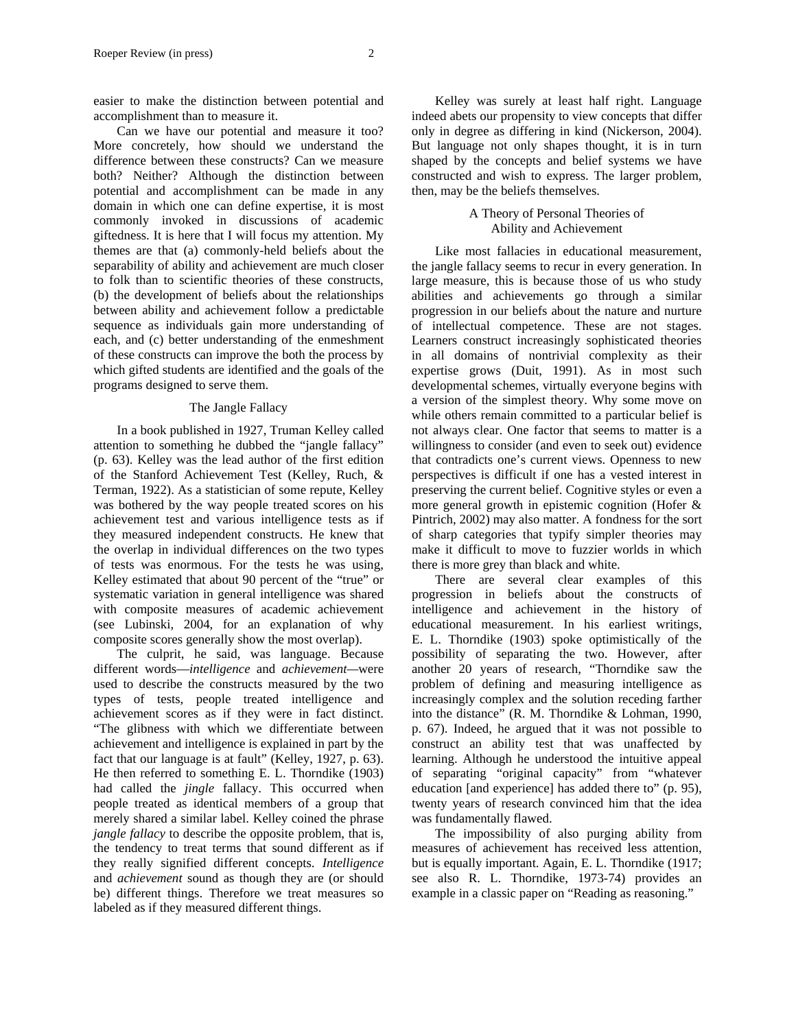easier to make the distinction between potential and accomplishment than to measure it.

Can we have our potential and measure it too? More concretely, how should we understand the difference between these constructs? Can we measure both? Neither? Although the distinction between potential and accomplishment can be made in any domain in which one can define expertise, it is most commonly invoked in discussions of academic giftedness. It is here that I will focus my attention. My themes are that (a) commonly-held beliefs about the separability of ability and achievement are much closer to folk than to scientific theories of these constructs, (b) the development of beliefs about the relationships between ability and achievement follow a predictable sequence as individuals gain more understanding of each, and (c) better understanding of the enmeshment of these constructs can improve the both the process by which gifted students are identified and the goals of the programs designed to serve them.

#### The Jangle Fallacy

In a book published in 1927, Truman Kelley called attention to something he dubbed the "jangle fallacy" (p. 63). Kelley was the lead author of the first edition of the Stanford Achievement Test (Kelley, Ruch, & Terman, 1922). As a statistician of some repute, Kelley was bothered by the way people treated scores on his achievement test and various intelligence tests as if they measured independent constructs. He knew that the overlap in individual differences on the two types of tests was enormous. For the tests he was using, Kelley estimated that about 90 percent of the "true" or systematic variation in general intelligence was shared with composite measures of academic achievement (see Lubinski, 2004, for an explanation of why composite scores generally show the most overlap).

The culprit, he said, was language. Because different words—*intelligence* and *achievement—*were used to describe the constructs measured by the two types of tests, people treated intelligence and achievement scores as if they were in fact distinct. "The glibness with which we differentiate between achievement and intelligence is explained in part by the fact that our language is at fault" (Kelley, 1927, p. 63). He then referred to something E. L. Thorndike (1903) had called the *jingle* fallacy. This occurred when people treated as identical members of a group that merely shared a similar label. Kelley coined the phrase *jangle fallacy* to describe the opposite problem, that is, the tendency to treat terms that sound different as if they really signified different concepts. *Intelligence* and *achievement* sound as though they are (or should be) different things. Therefore we treat measures so labeled as if they measured different things.

## A Theory of Personal Theories of Ability and Achievement

Like most fallacies in educational measurement, the jangle fallacy seems to recur in every generation. In large measure, this is because those of us who study abilities and achievements go through a similar progression in our beliefs about the nature and nurture of intellectual competence. These are not stages. Learners construct increasingly sophisticated theories in all domains of nontrivial complexity as their expertise grows (Duit, 1991). As in most such developmental schemes, virtually everyone begins with a version of the simplest theory. Why some move on while others remain committed to a particular belief is not always clear. One factor that seems to matter is a willingness to consider (and even to seek out) evidence that contradicts one's current views. Openness to new perspectives is difficult if one has a vested interest in preserving the current belief. Cognitive styles or even a more general growth in epistemic cognition (Hofer & Pintrich, 2002) may also matter. A fondness for the sort of sharp categories that typify simpler theories may make it difficult to move to fuzzier worlds in which there is more grey than black and white.

There are several clear examples of this progression in beliefs about the constructs of intelligence and achievement in the history of educational measurement. In his earliest writings, E. L. Thorndike (1903) spoke optimistically of the possibility of separating the two. However, after another 20 years of research, "Thorndike saw the problem of defining and measuring intelligence as increasingly complex and the solution receding farther into the distance" (R. M. Thorndike & Lohman, 1990, p. 67). Indeed, he argued that it was not possible to construct an ability test that was unaffected by learning. Although he understood the intuitive appeal of separating "original capacity" from "whatever education [and experience] has added there to" (p. 95), twenty years of research convinced him that the idea was fundamentally flawed.

The impossibility of also purging ability from measures of achievement has received less attention, but is equally important. Again, E. L. Thorndike (1917; see also R. L. Thorndike, 1973-74) provides an example in a classic paper on "Reading as reasoning."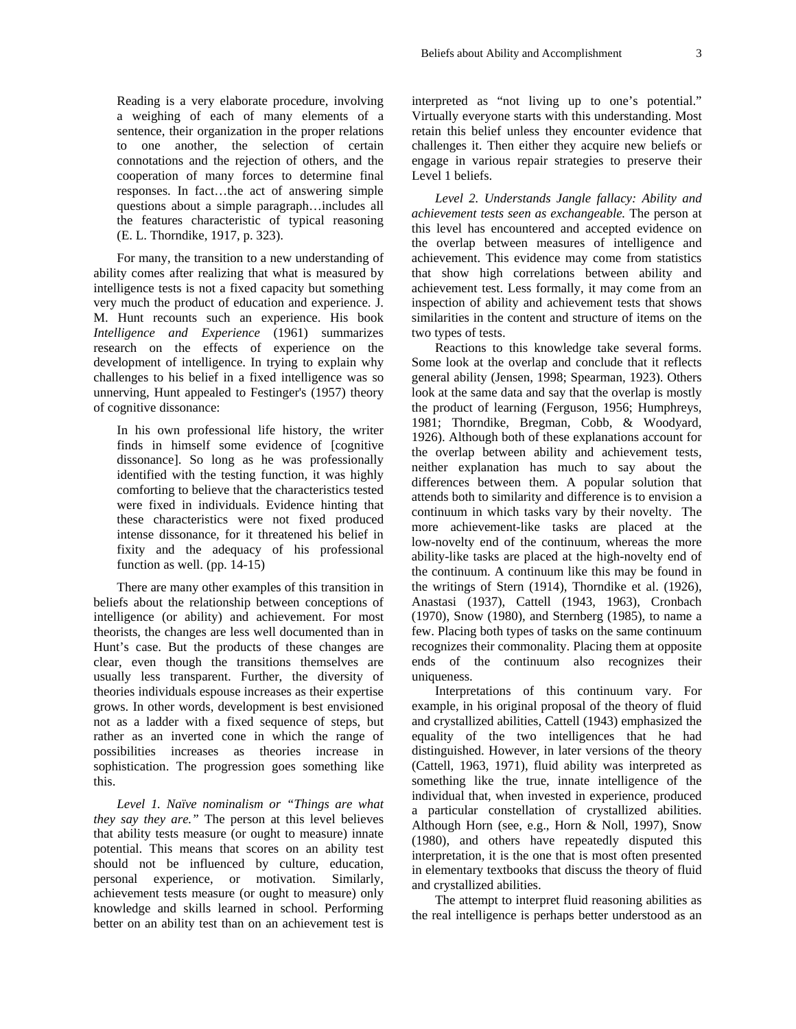Reading is a very elaborate procedure, involving a weighing of each of many elements of a sentence, their organization in the proper relations to one another, the selection of certain connotations and the rejection of others, and the cooperation of many forces to determine final responses. In fact…the act of answering simple questions about a simple paragraph…includes all the features characteristic of typical reasoning (E. L. Thorndike, 1917, p. 323).

For many, the transition to a new understanding of ability comes after realizing that what is measured by intelligence tests is not a fixed capacity but something very much the product of education and experience. J. M. Hunt recounts such an experience. His book *Intelligence and Experience* (1961) summarizes research on the effects of experience on the development of intelligence. In trying to explain why challenges to his belief in a fixed intelligence was so unnerving, Hunt appealed to Festinger's (1957) theory of cognitive dissonance:

In his own professional life history, the writer finds in himself some evidence of [cognitive dissonance]. So long as he was professionally identified with the testing function, it was highly comforting to believe that the characteristics tested were fixed in individuals. Evidence hinting that these characteristics were not fixed produced intense dissonance, for it threatened his belief in fixity and the adequacy of his professional function as well. (pp. 14-15)

There are many other examples of this transition in beliefs about the relationship between conceptions of intelligence (or ability) and achievement. For most theorists, the changes are less well documented than in Hunt's case. But the products of these changes are clear, even though the transitions themselves are usually less transparent. Further, the diversity of theories individuals espouse increases as their expertise grows. In other words, development is best envisioned not as a ladder with a fixed sequence of steps, but rather as an inverted cone in which the range of possibilities increases as theories increase in sophistication. The progression goes something like this.

*Level 1. Naïve nominalism or "Things are what they say they are."* The person at this level believes that ability tests measure (or ought to measure) innate potential. This means that scores on an ability test should not be influenced by culture, education, personal experience, or motivation. Similarly, achievement tests measure (or ought to measure) only knowledge and skills learned in school. Performing better on an ability test than on an achievement test is interpreted as "not living up to one's potential." Virtually everyone starts with this understanding. Most retain this belief unless they encounter evidence that challenges it. Then either they acquire new beliefs or engage in various repair strategies to preserve their Level 1 beliefs.

*Level 2. Understands Jangle fallacy: Ability and achievement tests seen as exchangeable.* The person at this level has encountered and accepted evidence on the overlap between measures of intelligence and achievement. This evidence may come from statistics that show high correlations between ability and achievement test. Less formally, it may come from an inspection of ability and achievement tests that shows similarities in the content and structure of items on the two types of tests.

Reactions to this knowledge take several forms. Some look at the overlap and conclude that it reflects general ability (Jensen, 1998; Spearman, 1923). Others look at the same data and say that the overlap is mostly the product of learning (Ferguson, 1956; Humphreys, 1981; Thorndike, Bregman, Cobb, & Woodyard, 1926). Although both of these explanations account for the overlap between ability and achievement tests, neither explanation has much to say about the differences between them. A popular solution that attends both to similarity and difference is to envision a continuum in which tasks vary by their novelty. The more achievement-like tasks are placed at the low-novelty end of the continuum, whereas the more ability-like tasks are placed at the high-novelty end of the continuum. A continuum like this may be found in the writings of Stern (1914), Thorndike et al. (1926), Anastasi (1937), Cattell (1943, 1963), Cronbach (1970), Snow (1980), and Sternberg (1985), to name a few. Placing both types of tasks on the same continuum recognizes their commonality. Placing them at opposite ends of the continuum also recognizes their uniqueness.

Interpretations of this continuum vary. For example, in his original proposal of the theory of fluid and crystallized abilities, Cattell (1943) emphasized the equality of the two intelligences that he had distinguished. However, in later versions of the theory (Cattell, 1963, 1971), fluid ability was interpreted as something like the true, innate intelligence of the individual that, when invested in experience, produced a particular constellation of crystallized abilities. Although Horn (see, e.g., Horn & Noll, 1997), Snow (1980), and others have repeatedly disputed this interpretation, it is the one that is most often presented in elementary textbooks that discuss the theory of fluid and crystallized abilities.

The attempt to interpret fluid reasoning abilities as the real intelligence is perhaps better understood as an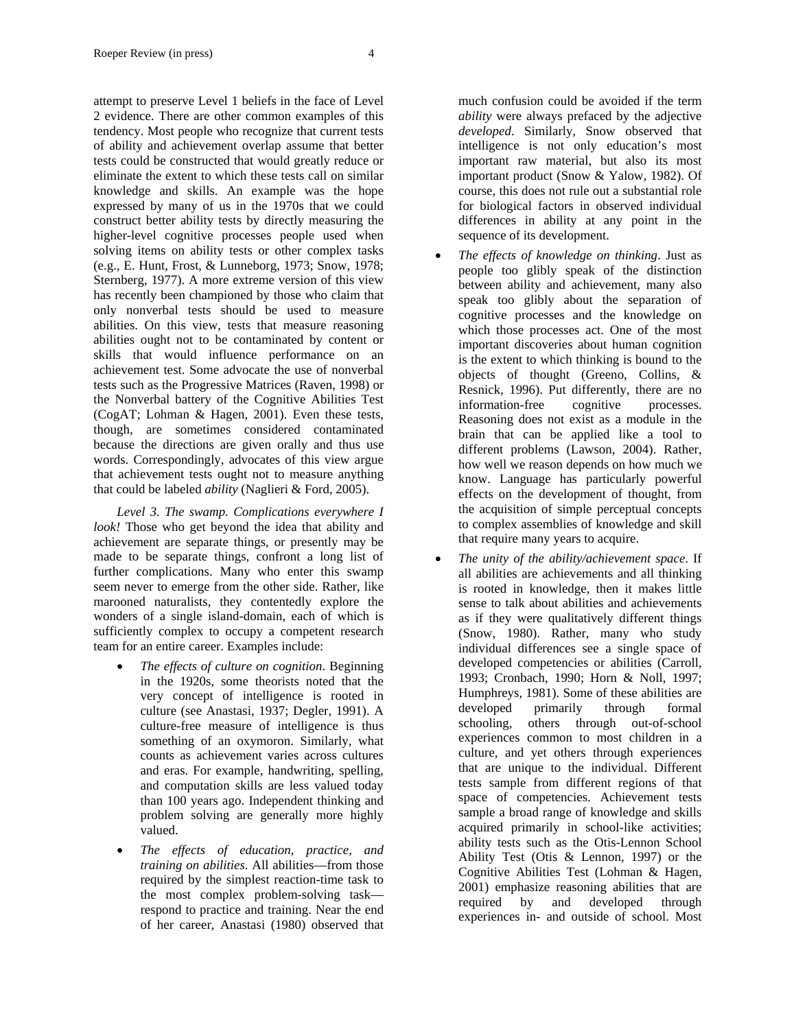attempt to preserve Level 1 beliefs in the face of Level 2 evidence. There are other common examples of this tendency. Most people who recognize that current tests of ability and achievement overlap assume that better tests could be constructed that would greatly reduce or eliminate the extent to which these tests call on similar knowledge and skills. An example was the hope expressed by many of us in the 1970s that we could construct better ability tests by directly measuring the higher-level cognitive processes people used when solving items on ability tests or other complex tasks (e.g., E. Hunt, Frost, & Lunneborg, 1973; Snow, 1978; Sternberg, 1977). A more extreme version of this view has recently been championed by those who claim that only nonverbal tests should be used to measure abilities. On this view, tests that measure reasoning abilities ought not to be contaminated by content or skills that would influence performance on an achievement test. Some advocate the use of nonverbal tests such as the Progressive Matrices (Raven, 1998) or the Nonverbal battery of the Cognitive Abilities Test (CogAT; Lohman & Hagen, 2001). Even these tests, though, are sometimes considered contaminated because the directions are given orally and thus use words. Correspondingly, advocates of this view argue that achievement tests ought not to measure anything that could be labeled *ability* (Naglieri & Ford, 2005).

*Level 3. The swamp. Complications everywhere I look!* Those who get beyond the idea that ability and achievement are separate things, or presently may be made to be separate things, confront a long list of further complications. Many who enter this swamp seem never to emerge from the other side. Rather, like marooned naturalists, they contentedly explore the wonders of a single island-domain, each of which is sufficiently complex to occupy a competent research team for an entire career. Examples include:

- *The effects of culture on cognition*. Beginning in the 1920s, some theorists noted that the very concept of intelligence is rooted in culture (see Anastasi, 1937; Degler, 1991). A culture-free measure of intelligence is thus something of an oxymoron. Similarly, what counts as achievement varies across cultures and eras. For example, handwriting, spelling, and computation skills are less valued today than 100 years ago. Independent thinking and problem solving are generally more highly valued.
- *The effects of education, practice, and training on abilities*. All abilities—from those required by the simplest reaction-time task to the most complex problem-solving task respond to practice and training. Near the end of her career, Anastasi (1980) observed that

much confusion could be avoided if the term *ability* were always prefaced by the adjective *developed*. Similarly, Snow observed that intelligence is not only education's most important raw material, but also its most important product (Snow & Yalow, 1982). Of course, this does not rule out a substantial role for biological factors in observed individual differences in ability at any point in the sequence of its development.

- *The effects of knowledge on thinking*. Just as people too glibly speak of the distinction between ability and achievement, many also speak too glibly about the separation of cognitive processes and the knowledge on which those processes act. One of the most important discoveries about human cognition is the extent to which thinking is bound to the objects of thought (Greeno, Collins, & Resnick, 1996). Put differently, there are no information-free cognitive processes. Reasoning does not exist as a module in the brain that can be applied like a tool to different problems (Lawson, 2004). Rather, how well we reason depends on how much we know. Language has particularly powerful effects on the development of thought, from the acquisition of simple perceptual concepts to complex assemblies of knowledge and skill that require many years to acquire.
- *The unity of the ability/achievement space*. If all abilities are achievements and all thinking is rooted in knowledge, then it makes little sense to talk about abilities and achievements as if they were qualitatively different things (Snow, 1980). Rather, many who study individual differences see a single space of developed competencies or abilities (Carroll, 1993; Cronbach, 1990; Horn & Noll, 1997; Humphreys, 1981). Some of these abilities are developed primarily through formal schooling, others through out-of-school experiences common to most children in a culture, and yet others through experiences that are unique to the individual. Different tests sample from different regions of that space of competencies. Achievement tests sample a broad range of knowledge and skills acquired primarily in school-like activities; ability tests such as the Otis-Lennon School Ability Test (Otis & Lennon, 1997) or the Cognitive Abilities Test (Lohman & Hagen, 2001) emphasize reasoning abilities that are required by and developed through experiences in- and outside of school. Most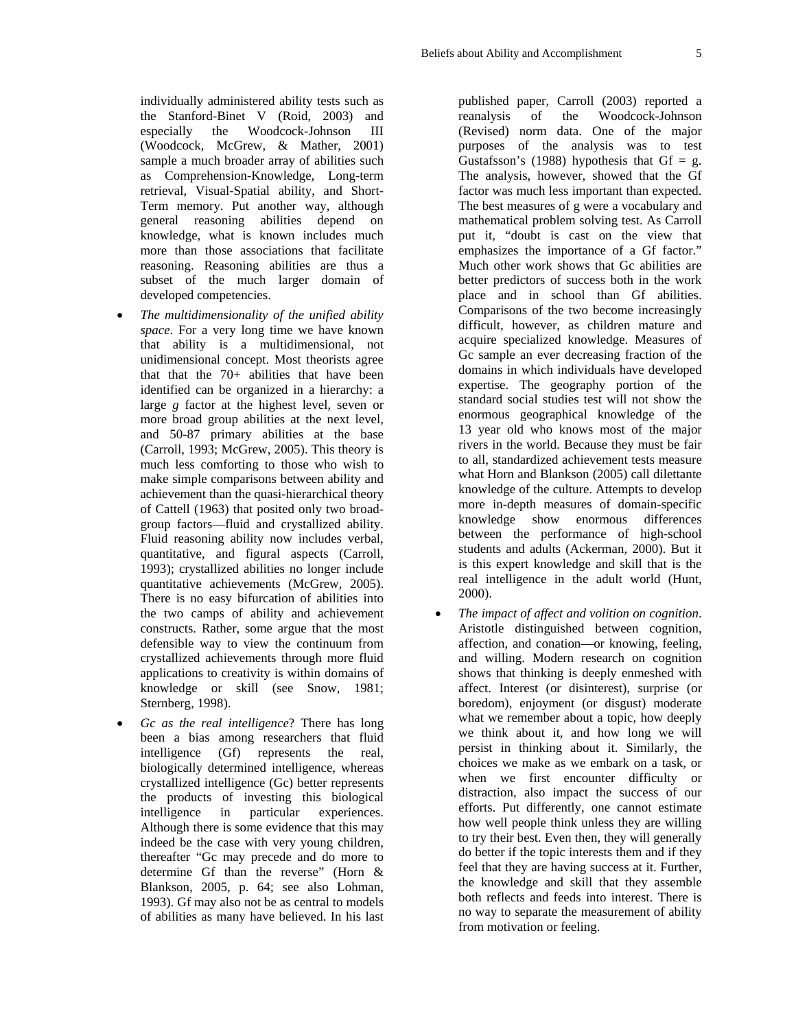individually administered ability tests such as the Stanford-Binet V (Roid, 2003) and especially the Woodcock-Johnson III (Woodcock, McGrew, & Mather, 2001) sample a much broader array of abilities such as Comprehension-Knowledge, Long-term retrieval, Visual-Spatial ability, and Short-Term memory. Put another way, although general reasoning abilities depend on knowledge, what is known includes much more than those associations that facilitate reasoning. Reasoning abilities are thus a subset of the much larger domain of developed competencies.

- *The multidimensionality of the unified ability space*. For a very long time we have known that ability is a multidimensional, not unidimensional concept. Most theorists agree that that the 70+ abilities that have been identified can be organized in a hierarchy: a large *g* factor at the highest level, seven or more broad group abilities at the next level, and 50-87 primary abilities at the base (Carroll, 1993; McGrew, 2005). This theory is much less comforting to those who wish to make simple comparisons between ability and achievement than the quasi-hierarchical theory of Cattell (1963) that posited only two broadgroup factors—fluid and crystallized ability. Fluid reasoning ability now includes verbal, quantitative, and figural aspects (Carroll, 1993); crystallized abilities no longer include quantitative achievements (McGrew, 2005). There is no easy bifurcation of abilities into the two camps of ability and achievement constructs. Rather, some argue that the most defensible way to view the continuum from crystallized achievements through more fluid applications to creativity is within domains of knowledge or skill (see Snow, 1981; Sternberg, 1998).
- *Gc as the real intelligence*? There has long been a bias among researchers that fluid intelligence (Gf) represents the real, biologically determined intelligence, whereas crystallized intelligence (Gc) better represents the products of investing this biological intelligence in particular experiences. Although there is some evidence that this may indeed be the case with very young children, thereafter "Gc may precede and do more to determine Gf than the reverse" (Horn & Blankson, 2005, p. 64; see also Lohman, 1993). Gf may also not be as central to models of abilities as many have believed. In his last

published paper, Carroll (2003) reported a reanalysis of the Woodcock-Johnson (Revised) norm data. One of the major purposes of the analysis was to test Gustafsson's (1988) hypothesis that  $Gf = g$ . The analysis, however, showed that the Gf factor was much less important than expected. The best measures of g were a vocabulary and mathematical problem solving test. As Carroll put it, "doubt is cast on the view that emphasizes the importance of a Gf factor." Much other work shows that Gc abilities are better predictors of success both in the work place and in school than Gf abilities. Comparisons of the two become increasingly difficult, however, as children mature and acquire specialized knowledge. Measures of Gc sample an ever decreasing fraction of the domains in which individuals have developed expertise. The geography portion of the standard social studies test will not show the enormous geographical knowledge of the 13 year old who knows most of the major rivers in the world. Because they must be fair to all, standardized achievement tests measure what Horn and Blankson (2005) call dilettante knowledge of the culture. Attempts to develop more in-depth measures of domain-specific knowledge show enormous differences between the performance of high-school students and adults (Ackerman, 2000). But it is this expert knowledge and skill that is the real intelligence in the adult world (Hunt, 2000).

• *The impact of affect and volition on cognition*. Aristotle distinguished between cognition, affection, and conation—or knowing, feeling, and willing. Modern research on cognition shows that thinking is deeply enmeshed with affect. Interest (or disinterest), surprise (or boredom), enjoyment (or disgust) moderate what we remember about a topic, how deeply we think about it, and how long we will persist in thinking about it. Similarly, the choices we make as we embark on a task, or when we first encounter difficulty or distraction, also impact the success of our efforts. Put differently, one cannot estimate how well people think unless they are willing to try their best. Even then, they will generally do better if the topic interests them and if they feel that they are having success at it. Further, the knowledge and skill that they assemble both reflects and feeds into interest. There is no way to separate the measurement of ability from motivation or feeling.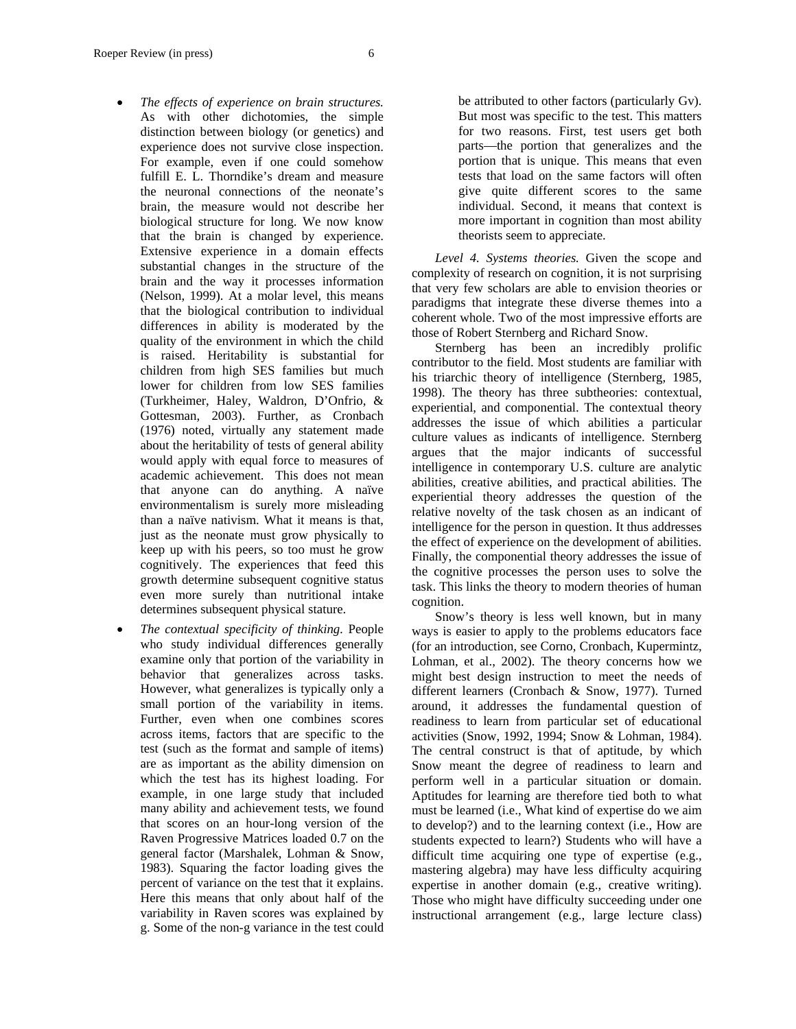- *The effects of experience on brain structures.* As with other dichotomies, the simple distinction between biology (or genetics) and experience does not survive close inspection. For example, even if one could somehow fulfill E. L. Thorndike's dream and measure the neuronal connections of the neonate's brain, the measure would not describe her biological structure for long. We now know that the brain is changed by experience. Extensive experience in a domain effects substantial changes in the structure of the brain and the way it processes information (Nelson, 1999). At a molar level, this means that the biological contribution to individual differences in ability is moderated by the quality of the environment in which the child is raised. Heritability is substantial for children from high SES families but much lower for children from low SES families (Turkheimer, Haley, Waldron, D'Onfrio, & Gottesman, 2003). Further, as Cronbach (1976) noted, virtually any statement made about the heritability of tests of general ability would apply with equal force to measures of academic achievement. This does not mean that anyone can do anything. A naïve environmentalism is surely more misleading than a naïve nativism. What it means is that, just as the neonate must grow physically to keep up with his peers, so too must he grow cognitively. The experiences that feed this growth determine subsequent cognitive status even more surely than nutritional intake determines subsequent physical stature.
- *The contextual specificity of thinking.* People who study individual differences generally examine only that portion of the variability in behavior that generalizes across tasks. However, what generalizes is typically only a small portion of the variability in items. Further, even when one combines scores across items, factors that are specific to the test (such as the format and sample of items) are as important as the ability dimension on which the test has its highest loading. For example, in one large study that included many ability and achievement tests, we found that scores on an hour-long version of the Raven Progressive Matrices loaded 0.7 on the general factor (Marshalek, Lohman & Snow, 1983). Squaring the factor loading gives the percent of variance on the test that it explains. Here this means that only about half of the variability in Raven scores was explained by g. Some of the non-g variance in the test could

be attributed to other factors (particularly Gv). But most was specific to the test. This matters for two reasons. First, test users get both parts—the portion that generalizes and the portion that is unique. This means that even tests that load on the same factors will often give quite different scores to the same individual. Second, it means that context is more important in cognition than most ability theorists seem to appreciate.

*Level 4. Systems theories.* Given the scope and complexity of research on cognition, it is not surprising that very few scholars are able to envision theories or paradigms that integrate these diverse themes into a coherent whole. Two of the most impressive efforts are those of Robert Sternberg and Richard Snow.

Sternberg has been an incredibly prolific contributor to the field. Most students are familiar with his triarchic theory of intelligence (Sternberg, 1985, 1998). The theory has three subtheories: contextual, experiential, and componential. The contextual theory addresses the issue of which abilities a particular culture values as indicants of intelligence. Sternberg argues that the major indicants of successful intelligence in contemporary U.S. culture are analytic abilities, creative abilities, and practical abilities. The experiential theory addresses the question of the relative novelty of the task chosen as an indicant of intelligence for the person in question. It thus addresses the effect of experience on the development of abilities. Finally, the componential theory addresses the issue of the cognitive processes the person uses to solve the task. This links the theory to modern theories of human cognition.

Snow's theory is less well known, but in many ways is easier to apply to the problems educators face (for an introduction, see Corno, Cronbach, Kupermintz, Lohman, et al., 2002). The theory concerns how we might best design instruction to meet the needs of different learners (Cronbach & Snow, 1977). Turned around, it addresses the fundamental question of readiness to learn from particular set of educational activities (Snow, 1992, 1994; Snow & Lohman, 1984). The central construct is that of aptitude, by which Snow meant the degree of readiness to learn and perform well in a particular situation or domain. Aptitudes for learning are therefore tied both to what must be learned (i.e., What kind of expertise do we aim to develop?) and to the learning context (i.e., How are students expected to learn?) Students who will have a difficult time acquiring one type of expertise (e.g., mastering algebra) may have less difficulty acquiring expertise in another domain (e.g., creative writing). Those who might have difficulty succeeding under one instructional arrangement (e.g., large lecture class)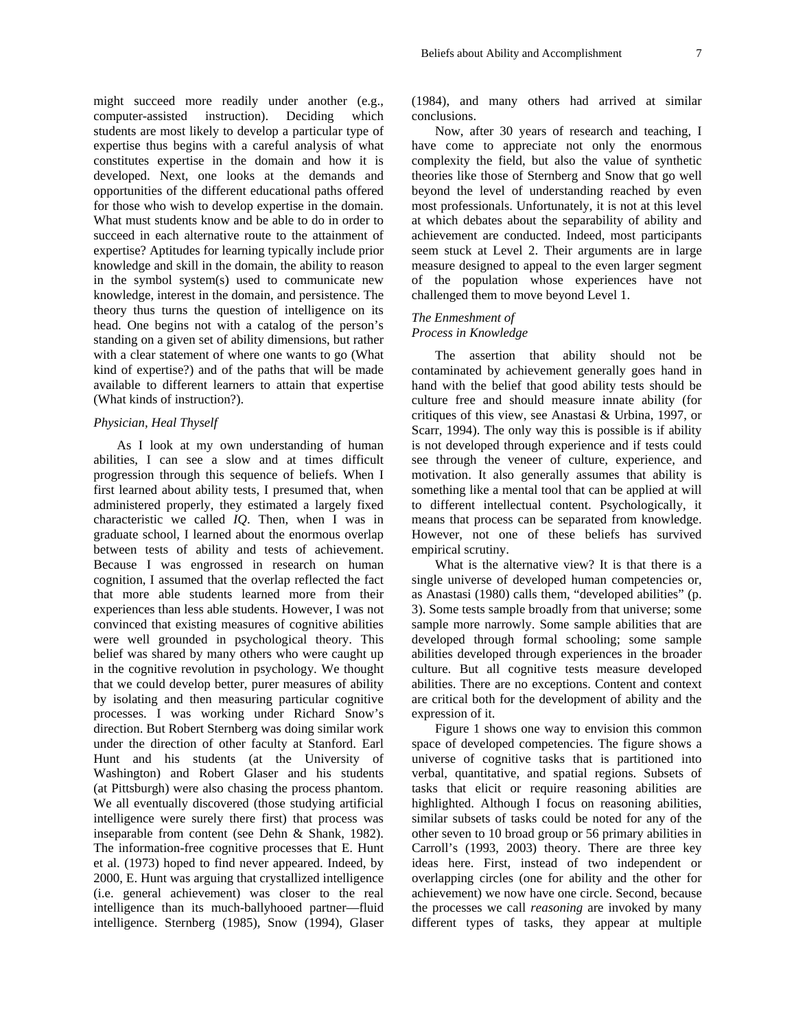might succeed more readily under another (e.g., computer-assisted instruction). Deciding which students are most likely to develop a particular type of expertise thus begins with a careful analysis of what constitutes expertise in the domain and how it is developed. Next, one looks at the demands and opportunities of the different educational paths offered for those who wish to develop expertise in the domain. What must students know and be able to do in order to succeed in each alternative route to the attainment of expertise? Aptitudes for learning typically include prior knowledge and skill in the domain, the ability to reason in the symbol system(s) used to communicate new knowledge, interest in the domain, and persistence. The theory thus turns the question of intelligence on its head. One begins not with a catalog of the person's standing on a given set of ability dimensions, but rather with a clear statement of where one wants to go (What kind of expertise?) and of the paths that will be made available to different learners to attain that expertise (What kinds of instruction?).

#### *Physician, Heal Thyself*

As I look at my own understanding of human abilities, I can see a slow and at times difficult progression through this sequence of beliefs. When I first learned about ability tests, I presumed that, when administered properly, they estimated a largely fixed characteristic we called *IQ*. Then, when I was in graduate school, I learned about the enormous overlap between tests of ability and tests of achievement. Because I was engrossed in research on human cognition, I assumed that the overlap reflected the fact that more able students learned more from their experiences than less able students. However, I was not convinced that existing measures of cognitive abilities were well grounded in psychological theory. This belief was shared by many others who were caught up in the cognitive revolution in psychology. We thought that we could develop better, purer measures of ability by isolating and then measuring particular cognitive processes. I was working under Richard Snow's direction. But Robert Sternberg was doing similar work under the direction of other faculty at Stanford. Earl Hunt and his students (at the University of Washington) and Robert Glaser and his students (at Pittsburgh) were also chasing the process phantom. We all eventually discovered (those studying artificial intelligence were surely there first) that process was inseparable from content (see Dehn & Shank, 1982). The information-free cognitive processes that E. Hunt et al. (1973) hoped to find never appeared. Indeed, by 2000, E. Hunt was arguing that crystallized intelligence (i.e. general achievement) was closer to the real intelligence than its much-ballyhooed partner—fluid intelligence. Sternberg (1985), Snow (1994), Glaser (1984), and many others had arrived at similar conclusions.

Now, after 30 years of research and teaching, I have come to appreciate not only the enormous complexity the field, but also the value of synthetic theories like those of Sternberg and Snow that go well beyond the level of understanding reached by even most professionals. Unfortunately, it is not at this level at which debates about the separability of ability and achievement are conducted. Indeed, most participants seem stuck at Level 2. Their arguments are in large measure designed to appeal to the even larger segment of the population whose experiences have not challenged them to move beyond Level 1.

#### *The Enmeshment of Process in Knowledge*

The assertion that ability should not be contaminated by achievement generally goes hand in hand with the belief that good ability tests should be culture free and should measure innate ability (for critiques of this view, see Anastasi & Urbina, 1997, or Scarr, 1994). The only way this is possible is if ability is not developed through experience and if tests could see through the veneer of culture, experience, and motivation. It also generally assumes that ability is something like a mental tool that can be applied at will to different intellectual content. Psychologically, it means that process can be separated from knowledge. However, not one of these beliefs has survived empirical scrutiny.

What is the alternative view? It is that there is a single universe of developed human competencies or, as Anastasi (1980) calls them, "developed abilities" (p. 3). Some tests sample broadly from that universe; some sample more narrowly. Some sample abilities that are developed through formal schooling; some sample abilities developed through experiences in the broader culture. But all cognitive tests measure developed abilities. There are no exceptions. Content and context are critical both for the development of ability and the expression of it.

Figure 1 shows one way to envision this common space of developed competencies. The figure shows a universe of cognitive tasks that is partitioned into verbal, quantitative, and spatial regions. Subsets of tasks that elicit or require reasoning abilities are highlighted. Although I focus on reasoning abilities, similar subsets of tasks could be noted for any of the other seven to 10 broad group or 56 primary abilities in Carroll's (1993, 2003) theory. There are three key ideas here. First, instead of two independent or overlapping circles (one for ability and the other for achievement) we now have one circle. Second, because the processes we call *reasoning* are invoked by many different types of tasks, they appear at multiple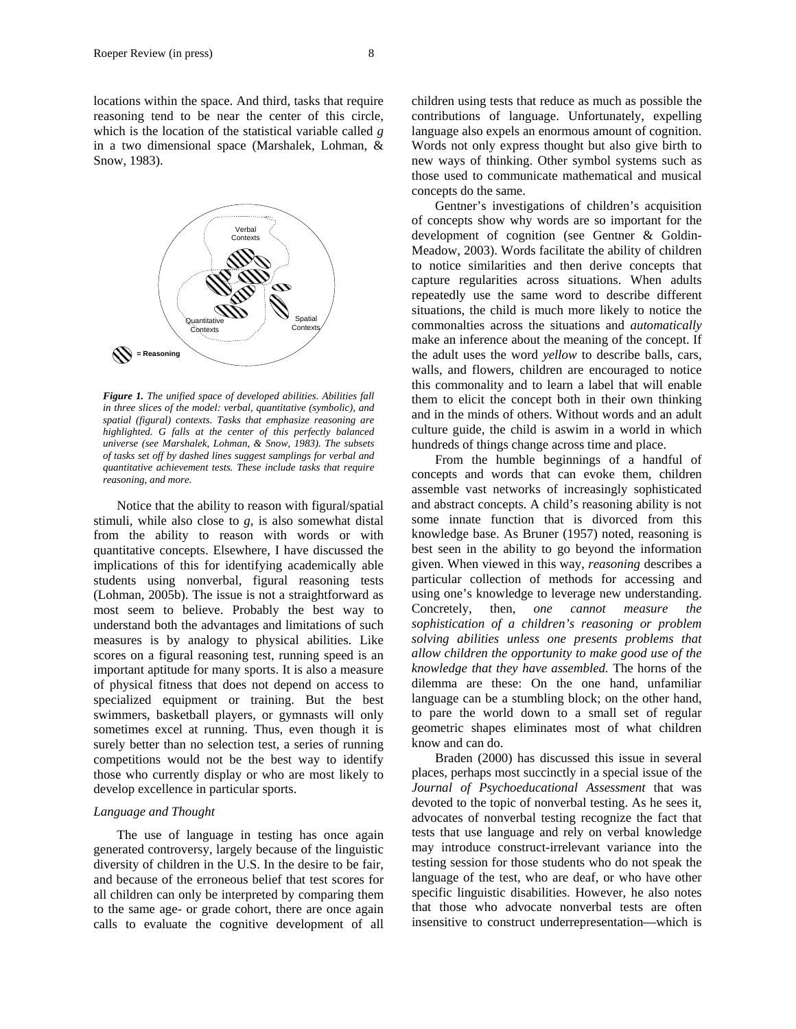locations within the space. And third, tasks that require reasoning tend to be near the center of this circle, which is the location of the statistical variable called *g* in a two dimensional space (Marshalek, Lohman, & Snow, 1983).



*Figure 1. The unified space of developed abilities. Abilities fall in three slices of the model: verbal, quantitative (symbolic), and spatial (figural) contexts. Tasks that emphasize reasoning are highlighted. G falls at the center of this perfectly balanced universe (see Marshalek, Lohman, & Snow, 1983). The subsets of tasks set off by dashed lines suggest samplings for verbal and quantitative achievement tests. These include tasks that require reasoning, and more.*

Notice that the ability to reason with figural/spatial stimuli, while also close to *g*, is also somewhat distal from the ability to reason with words or with quantitative concepts. Elsewhere, I have discussed the implications of this for identifying academically able students using nonverbal, figural reasoning tests (Lohman, 2005b). The issue is not a straightforward as most seem to believe. Probably the best way to understand both the advantages and limitations of such measures is by analogy to physical abilities. Like scores on a figural reasoning test, running speed is an important aptitude for many sports. It is also a measure of physical fitness that does not depend on access to specialized equipment or training. But the best swimmers, basketball players, or gymnasts will only sometimes excel at running. Thus, even though it is surely better than no selection test, a series of running competitions would not be the best way to identify those who currently display or who are most likely to develop excellence in particular sports.

#### *Language and Thought*

The use of language in testing has once again generated controversy, largely because of the linguistic diversity of children in the U.S. In the desire to be fair, and because of the erroneous belief that test scores for all children can only be interpreted by comparing them to the same age- or grade cohort, there are once again calls to evaluate the cognitive development of all

children using tests that reduce as much as possible the contributions of language. Unfortunately, expelling language also expels an enormous amount of cognition. Words not only express thought but also give birth to new ways of thinking. Other symbol systems such as those used to communicate mathematical and musical concepts do the same.

Gentner's investigations of children's acquisition of concepts show why words are so important for the development of cognition (see Gentner & Goldin-Meadow, 2003). Words facilitate the ability of children to notice similarities and then derive concepts that capture regularities across situations. When adults repeatedly use the same word to describe different situations, the child is much more likely to notice the commonalties across the situations and *automatically* make an inference about the meaning of the concept. If the adult uses the word *yellow* to describe balls, cars, walls, and flowers, children are encouraged to notice this commonality and to learn a label that will enable them to elicit the concept both in their own thinking and in the minds of others. Without words and an adult culture guide, the child is aswim in a world in which hundreds of things change across time and place.

From the humble beginnings of a handful of concepts and words that can evoke them, children assemble vast networks of increasingly sophisticated and abstract concepts. A child's reasoning ability is not some innate function that is divorced from this knowledge base. As Bruner (1957) noted, reasoning is best seen in the ability to go beyond the information given. When viewed in this way, *reasoning* describes a particular collection of methods for accessing and using one's knowledge to leverage new understanding. Concretely, then, *one cannot measure the sophistication of a children's reasoning or problem solving abilities unless one presents problems that allow children the opportunity to make good use of the knowledge that they have assembled.* The horns of the dilemma are these: On the one hand, unfamiliar language can be a stumbling block; on the other hand, to pare the world down to a small set of regular geometric shapes eliminates most of what children know and can do.

Braden (2000) has discussed this issue in several places, perhaps most succinctly in a special issue of the *Journal of Psychoeducational Assessment* that was devoted to the topic of nonverbal testing. As he sees it, advocates of nonverbal testing recognize the fact that tests that use language and rely on verbal knowledge may introduce construct-irrelevant variance into the testing session for those students who do not speak the language of the test, who are deaf, or who have other specific linguistic disabilities. However, he also notes that those who advocate nonverbal tests are often insensitive to construct underrepresentation—which is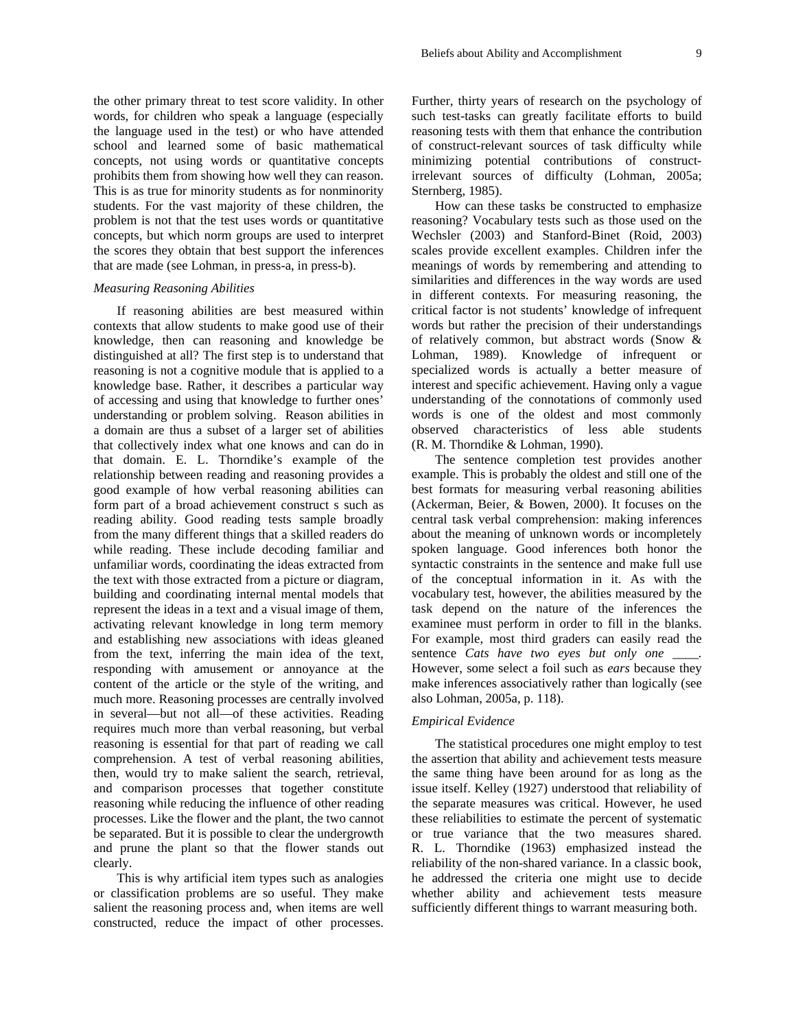the other primary threat to test score validity. In other words, for children who speak a language (especially the language used in the test) or who have attended school and learned some of basic mathematical concepts, not using words or quantitative concepts prohibits them from showing how well they can reason. This is as true for minority students as for nonminority students. For the vast majority of these children, the problem is not that the test uses words or quantitative concepts, but which norm groups are used to interpret the scores they obtain that best support the inferences that are made (see Lohman, in press-a, in press-b).

#### *Measuring Reasoning Abilities*

If reasoning abilities are best measured within contexts that allow students to make good use of their knowledge, then can reasoning and knowledge be distinguished at all? The first step is to understand that reasoning is not a cognitive module that is applied to a knowledge base. Rather, it describes a particular way of accessing and using that knowledge to further ones' understanding or problem solving. Reason abilities in a domain are thus a subset of a larger set of abilities that collectively index what one knows and can do in that domain. E. L. Thorndike's example of the relationship between reading and reasoning provides a good example of how verbal reasoning abilities can form part of a broad achievement construct s such as reading ability. Good reading tests sample broadly from the many different things that a skilled readers do while reading. These include decoding familiar and unfamiliar words, coordinating the ideas extracted from the text with those extracted from a picture or diagram, building and coordinating internal mental models that represent the ideas in a text and a visual image of them, activating relevant knowledge in long term memory and establishing new associations with ideas gleaned from the text, inferring the main idea of the text, responding with amusement or annoyance at the content of the article or the style of the writing, and much more. Reasoning processes are centrally involved in several—but not all—of these activities. Reading requires much more than verbal reasoning, but verbal reasoning is essential for that part of reading we call comprehension. A test of verbal reasoning abilities, then, would try to make salient the search, retrieval, and comparison processes that together constitute reasoning while reducing the influence of other reading processes. Like the flower and the plant, the two cannot be separated. But it is possible to clear the undergrowth and prune the plant so that the flower stands out clearly.

This is why artificial item types such as analogies or classification problems are so useful. They make salient the reasoning process and, when items are well constructed, reduce the impact of other processes. Further, thirty years of research on the psychology of such test-tasks can greatly facilitate efforts to build reasoning tests with them that enhance the contribution of construct-relevant sources of task difficulty while minimizing potential contributions of constructirrelevant sources of difficulty (Lohman, 2005a; Sternberg, 1985).

How can these tasks be constructed to emphasize reasoning? Vocabulary tests such as those used on the Wechsler (2003) and Stanford-Binet (Roid, 2003) scales provide excellent examples. Children infer the meanings of words by remembering and attending to similarities and differences in the way words are used in different contexts. For measuring reasoning, the critical factor is not students' knowledge of infrequent words but rather the precision of their understandings of relatively common, but abstract words (Snow & Lohman, 1989). Knowledge of infrequent or specialized words is actually a better measure of interest and specific achievement. Having only a vague understanding of the connotations of commonly used words is one of the oldest and most commonly observed characteristics of less able students (R. M. Thorndike & Lohman, 1990).

The sentence completion test provides another example. This is probably the oldest and still one of the best formats for measuring verbal reasoning abilities (Ackerman, Beier, & Bowen, 2000). It focuses on the central task verbal comprehension: making inferences about the meaning of unknown words or incompletely spoken language. Good inferences both honor the syntactic constraints in the sentence and make full use of the conceptual information in it. As with the vocabulary test, however, the abilities measured by the task depend on the nature of the inferences the examinee must perform in order to fill in the blanks. For example, most third graders can easily read the sentence *Cats have two eyes but only one \_\_\_\_.* However, some select a foil such as *ears* because they make inferences associatively rather than logically (see also Lohman, 2005a, p. 118).

## *Empirical Evidence*

The statistical procedures one might employ to test the assertion that ability and achievement tests measure the same thing have been around for as long as the issue itself. Kelley (1927) understood that reliability of the separate measures was critical. However, he used these reliabilities to estimate the percent of systematic or true variance that the two measures shared. R. L. Thorndike (1963) emphasized instead the reliability of the non-shared variance. In a classic book, he addressed the criteria one might use to decide whether ability and achievement tests measure sufficiently different things to warrant measuring both.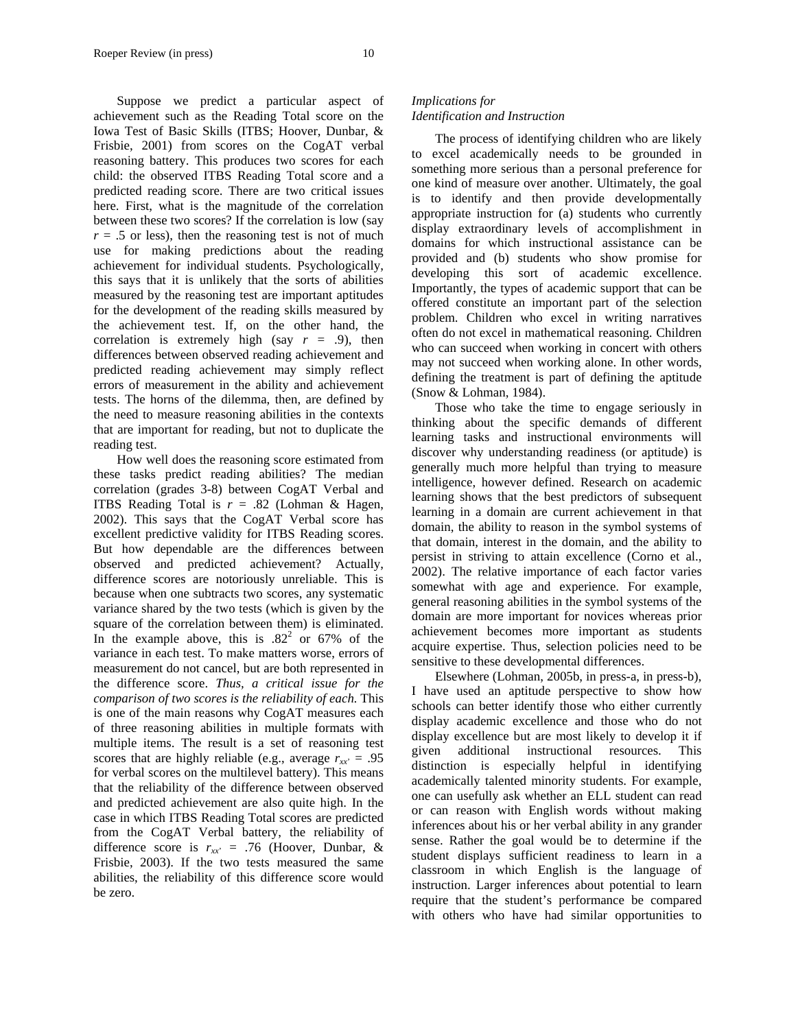Suppose we predict a particular aspect of achievement such as the Reading Total score on the Iowa Test of Basic Skills (ITBS; Hoover, Dunbar, & Frisbie, 2001) from scores on the CogAT verbal reasoning battery. This produces two scores for each child: the observed ITBS Reading Total score and a predicted reading score. There are two critical issues here. First, what is the magnitude of the correlation between these two scores? If the correlation is low (say  $r = .5$  or less), then the reasoning test is not of much use for making predictions about the reading achievement for individual students. Psychologically, this says that it is unlikely that the sorts of abilities measured by the reasoning test are important aptitudes for the development of the reading skills measured by the achievement test. If, on the other hand, the correlation is extremely high (say  $r = .9$ ), then differences between observed reading achievement and predicted reading achievement may simply reflect errors of measurement in the ability and achievement tests. The horns of the dilemma, then, are defined by the need to measure reasoning abilities in the contexts that are important for reading, but not to duplicate the reading test.

How well does the reasoning score estimated from these tasks predict reading abilities? The median correlation (grades 3-8) between CogAT Verbal and **ITBS** Reading Total is  $r = .82$  (Lohman & Hagen, 2002). This says that the CogAT Verbal score has excellent predictive validity for ITBS Reading scores. But how dependable are the differences between observed and predicted achievement? Actually, difference scores are notoriously unreliable. This is because when one subtracts two scores, any systematic variance shared by the two tests (which is given by the square of the correlation between them) is eliminated. In the example above, this is  $.82<sup>2</sup>$  or 67% of the variance in each test. To make matters worse, errors of measurement do not cancel, but are both represented in the difference score. *Thus, a critical issue for the comparison of two scores is the reliability of each.* This is one of the main reasons why CogAT measures each of three reasoning abilities in multiple formats with multiple items. The result is a set of reasoning test scores that are highly reliable (e.g., average  $r_{xx'} = .95$ ) for verbal scores on the multilevel battery). This means that the reliability of the difference between observed and predicted achievement are also quite high. In the case in which ITBS Reading Total scores are predicted from the CogAT Verbal battery, the reliability of difference score is  $r_{xx'} = .76$  (Hoover, Dunbar, & Frisbie, 2003). If the two tests measured the same abilities, the reliability of this difference score would be zero.

## *Implications for*

#### *Identification and Instruction*

The process of identifying children who are likely to excel academically needs to be grounded in something more serious than a personal preference for one kind of measure over another. Ultimately, the goal is to identify and then provide developmentally appropriate instruction for (a) students who currently display extraordinary levels of accomplishment in domains for which instructional assistance can be provided and (b) students who show promise for developing this sort of academic excellence. Importantly, the types of academic support that can be offered constitute an important part of the selection problem. Children who excel in writing narratives often do not excel in mathematical reasoning. Children who can succeed when working in concert with others may not succeed when working alone. In other words, defining the treatment is part of defining the aptitude (Snow & Lohman, 1984).

Those who take the time to engage seriously in thinking about the specific demands of different learning tasks and instructional environments will discover why understanding readiness (or aptitude) is generally much more helpful than trying to measure intelligence, however defined. Research on academic learning shows that the best predictors of subsequent learning in a domain are current achievement in that domain, the ability to reason in the symbol systems of that domain, interest in the domain, and the ability to persist in striving to attain excellence (Corno et al., 2002). The relative importance of each factor varies somewhat with age and experience. For example, general reasoning abilities in the symbol systems of the domain are more important for novices whereas prior achievement becomes more important as students acquire expertise. Thus, selection policies need to be sensitive to these developmental differences.

Elsewhere (Lohman, 2005b, in press-a, in press-b), I have used an aptitude perspective to show how schools can better identify those who either currently display academic excellence and those who do not display excellence but are most likely to develop it if given additional instructional resources. This distinction is especially helpful in identifying academically talented minority students. For example, one can usefully ask whether an ELL student can read or can reason with English words without making inferences about his or her verbal ability in any grander sense. Rather the goal would be to determine if the student displays sufficient readiness to learn in a classroom in which English is the language of instruction. Larger inferences about potential to learn require that the student's performance be compared with others who have had similar opportunities to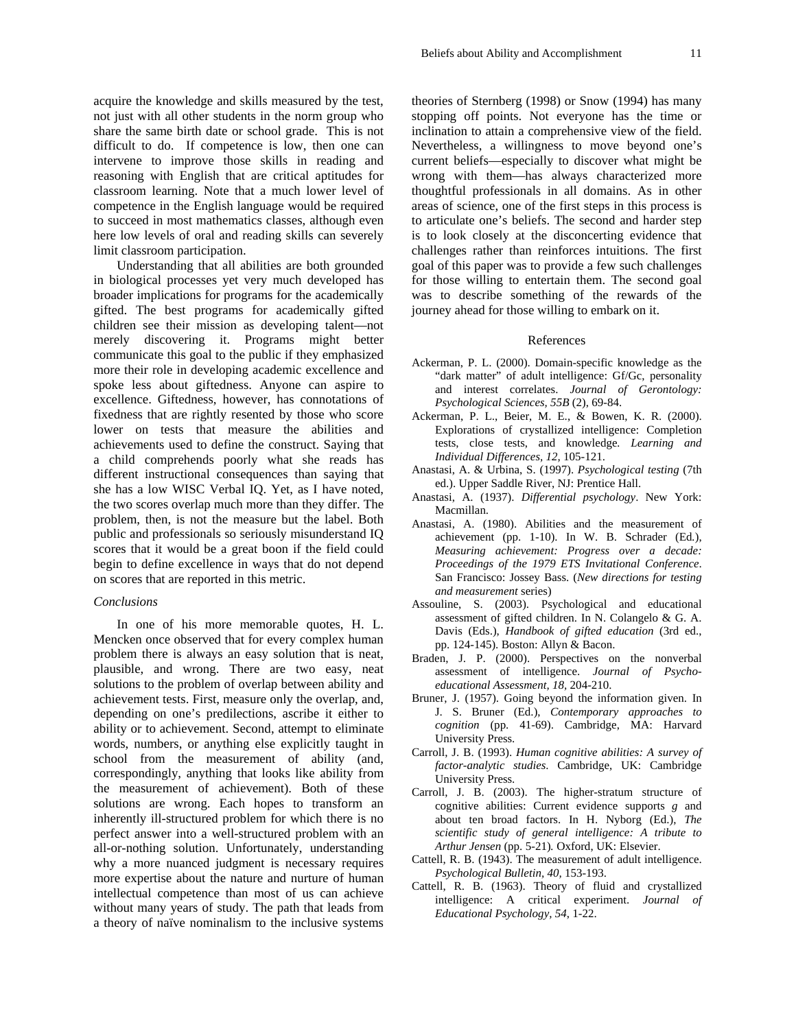acquire the knowledge and skills measured by the test, not just with all other students in the norm group who share the same birth date or school grade. This is not difficult to do. If competence is low, then one can intervene to improve those skills in reading and reasoning with English that are critical aptitudes for classroom learning. Note that a much lower level of competence in the English language would be required to succeed in most mathematics classes, although even here low levels of oral and reading skills can severely limit classroom participation.

Understanding that all abilities are both grounded in biological processes yet very much developed has broader implications for programs for the academically gifted. The best programs for academically gifted children see their mission as developing talent—not merely discovering it. Programs might better communicate this goal to the public if they emphasized more their role in developing academic excellence and spoke less about giftedness. Anyone can aspire to excellence. Giftedness, however, has connotations of fixedness that are rightly resented by those who score lower on tests that measure the abilities and achievements used to define the construct. Saying that a child comprehends poorly what she reads has different instructional consequences than saying that she has a low WISC Verbal IQ. Yet, as I have noted, the two scores overlap much more than they differ. The problem, then, is not the measure but the label. Both public and professionals so seriously misunderstand IQ scores that it would be a great boon if the field could begin to define excellence in ways that do not depend on scores that are reported in this metric.

#### *Conclusions*

In one of his more memorable quotes, H. L. Mencken once observed that for every complex human problem there is always an easy solution that is neat, plausible, and wrong. There are two easy, neat solutions to the problem of overlap between ability and achievement tests. First, measure only the overlap, and, depending on one's predilections, ascribe it either to ability or to achievement. Second, attempt to eliminate words, numbers, or anything else explicitly taught in school from the measurement of ability (and, correspondingly, anything that looks like ability from the measurement of achievement). Both of these solutions are wrong. Each hopes to transform an inherently ill-structured problem for which there is no perfect answer into a well-structured problem with an all-or-nothing solution. Unfortunately, understanding why a more nuanced judgment is necessary requires more expertise about the nature and nurture of human intellectual competence than most of us can achieve without many years of study. The path that leads from a theory of naïve nominalism to the inclusive systems

theories of Sternberg (1998) or Snow (1994) has many stopping off points. Not everyone has the time or inclination to attain a comprehensive view of the field. Nevertheless, a willingness to move beyond one's current beliefs—especially to discover what might be wrong with them—has always characterized more thoughtful professionals in all domains. As in other areas of science, one of the first steps in this process is to articulate one's beliefs. The second and harder step is to look closely at the disconcerting evidence that challenges rather than reinforces intuitions. The first goal of this paper was to provide a few such challenges for those willing to entertain them. The second goal was to describe something of the rewards of the journey ahead for those willing to embark on it.

#### References

- Ackerman, P. L. (2000). Domain-specific knowledge as the "dark matter" of adult intelligence: Gf/Gc, personality and interest correlates. *Journal of Gerontology: Psychological Sciences, 55B* (2), 69-84.
- Ackerman, P. L., Beier, M. E., & Bowen, K. R. (2000). Explorations of crystallized intelligence: Completion tests, close tests, and knowledge*. Learning and Individual Differences, 12,* 105-121.
- Anastasi, A. & Urbina, S. (1997). *Psychological testing* (7th ed.). Upper Saddle River, NJ: Prentice Hall.
- Anastasi, A. (1937). *Differential psychology*. New York: Macmillan.
- Anastasi, A. (1980). Abilities and the measurement of achievement (pp. 1-10). In W. B. Schrader (Ed*.*), *Measuring achievement: Progress over a decade: Proceedings of the 1979 ETS Invitational Conference*. San Francisco: Jossey Bass. (*New directions for testing and measurement* series)
- Assouline, S. (2003). Psychological and educational assessment of gifted children. In N. Colangelo & G. A. Davis (Eds.), *Handbook of gifted education* (3rd ed., pp. 124-145). Boston: Allyn & Bacon.
- Braden, J. P. (2000). Perspectives on the nonverbal assessment of intelligence. *Journal of Psychoeducational Assessment, 18,* 204-210.
- Bruner, J. (1957). Going beyond the information given. In J. S. Bruner (Ed.), *Contemporary approaches to cognition* (pp. 41-69). Cambridge, MA: Harvard University Press.
- Carroll, J. B. (1993). *Human cognitive abilities: A survey of factor-analytic studies*. Cambridge, UK: Cambridge University Press.
- Carroll, J. B. (2003). The higher-stratum structure of cognitive abilities: Current evidence supports *g* and about ten broad factors. In H. Nyborg (Ed.), *The scientific study of general intelligence: A tribute to Arthur Jensen* (pp. 5-21)*.* Oxford, UK: Elsevier.
- Cattell, R. B. (1943). The measurement of adult intelligence. *Psychological Bulletin, 40,* 153-193.
- Cattell, R. B. (1963). Theory of fluid and crystallized intelligence: A critical experiment. *Journal of Educational Psychology, 54*, 1-22.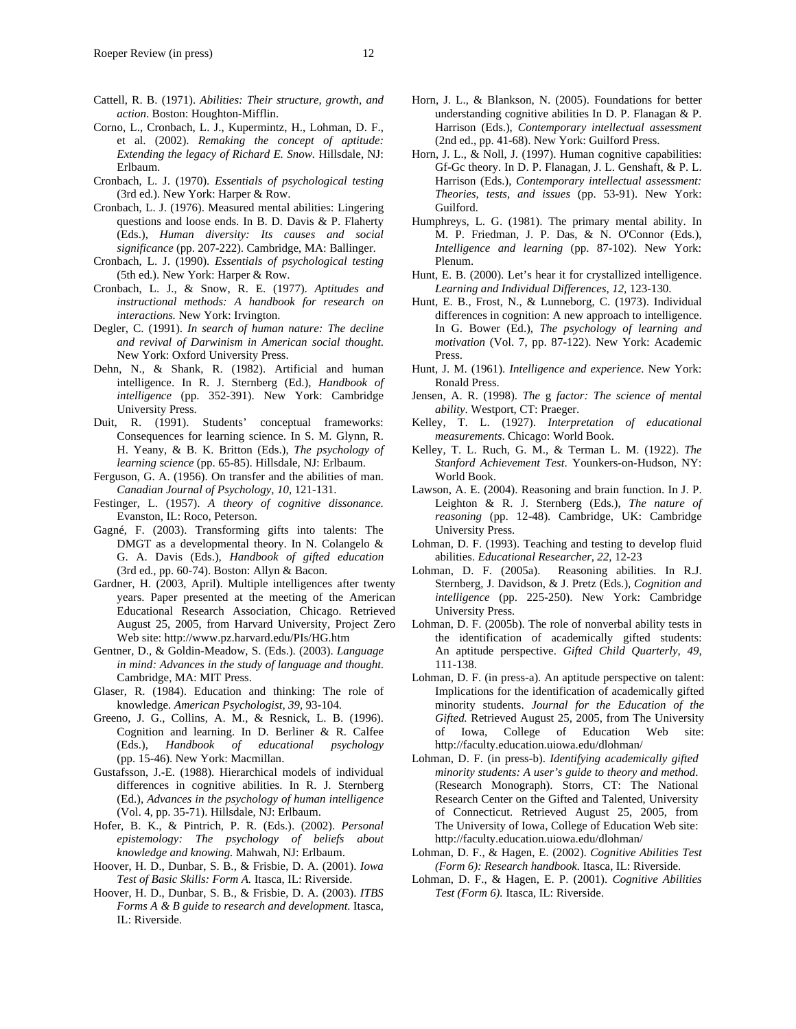- Cattell, R. B. (1971). *Abilities: Their structure, growth, and action*. Boston: Houghton-Mifflin.
- Corno, L., Cronbach, L. J., Kupermintz, H., Lohman, D. F., et al. (2002). *Remaking the concept of aptitude: Extending the legacy of Richard E. Snow.* Hillsdale, NJ: Erlbaum.
- Cronbach, L. J. (1970). *Essentials of psychological testing* (3rd ed.). New York: Harper & Row.
- Cronbach, L. J. (1976). Measured mental abilities: Lingering questions and loose ends. In B. D. Davis & P. Flaherty (Eds.), *Human diversity: Its causes and social significance* (pp. 207-222). Cambridge, MA: Ballinger.
- Cronbach, L. J. (1990). *Essentials of psychological testing* (5th ed.). New York: Harper & Row.
- Cronbach, L. J., & Snow, R. E. (1977). *Aptitudes and instructional methods: A handbook for research on interactions.* New York: Irvington.
- Degler, C. (1991). *In search of human nature: The decline and revival of Darwinism in American social thought*. New York: Oxford University Press.
- Dehn, N., & Shank, R. (1982). Artificial and human intelligence. In R. J. Sternberg (Ed.), *Handbook of intelligence* (pp. 352-391). New York: Cambridge University Press.
- Duit, R. (1991). Students' conceptual frameworks: Consequences for learning science. In S. M. Glynn, R. H. Yeany, & B. K. Britton (Eds.), *The psychology of learning science* (pp. 65-85). Hillsdale, NJ: Erlbaum.
- Ferguson, G. A. (1956). On transfer and the abilities of man. *Canadian Journal of Psychology, 10,* 121-131.
- Festinger, L. (1957). *A theory of cognitive dissonance.*  Evanston, IL: Roco, Peterson.
- Gagné, F. (2003). Transforming gifts into talents: The DMGT as a developmental theory. In N. Colangelo & G. A. Davis (Eds.), *Handbook of gifted education* (3rd ed., pp. 60-74). Boston: Allyn & Bacon.
- Gardner, H. (2003, April). Multiple intelligences after twenty years. Paper presented at the meeting of the American Educational Research Association, Chicago. Retrieved August 25, 2005, from Harvard University, Project Zero Web site: http://www.pz.harvard.edu/PIs/HG.htm
- Gentner, D., & Goldin-Meadow, S. (Eds.). (2003). *Language in mind: Advances in the study of language and thought*. Cambridge, MA: MIT Press.
- Glaser, R. (1984). Education and thinking: The role of knowledge. *American Psychologist, 39,* 93-104.
- Greeno, J. G., Collins, A. M., & Resnick, L. B. (1996). Cognition and learning. In D. Berliner & R. Calfee (Eds.), *Handbook of educational psychology* (pp. 15-46). New York: Macmillan.
- Gustafsson, J.-E. (1988). Hierarchical models of individual differences in cognitive abilities. In R. J. Sternberg (Ed.), *Advances in the psychology of human intelligence* (Vol. 4, pp. 35-71). Hillsdale, NJ: Erlbaum.
- Hofer, B. K., & Pintrich, P. R. (Eds.). (2002). *Personal epistemology: The psychology of beliefs about knowledge and knowing.* Mahwah, NJ: Erlbaum.
- Hoover, H. D., Dunbar, S. B., & Frisbie, D. A. (2001). *Iowa Test of Basic Skills: Form A.* Itasca, IL: Riverside.
- Hoover, H. D., Dunbar, S. B., & Frisbie, D. A. (2003). *ITBS Forms A & B guide to research and development.* Itasca, IL: Riverside.
- Horn, J. L., & Blankson, N. (2005). Foundations for better understanding cognitive abilities In D. P. Flanagan & P. Harrison (Eds.), *Contemporary intellectual assessment* (2nd ed., pp. 41-68). New York: Guilford Press.
- Horn, J. L., & Noll, J. (1997). Human cognitive capabilities: Gf-Gc theory. In D. P. Flanagan, J. L. Genshaft, & P. L. Harrison (Eds.), *Contemporary intellectual assessment: Theories, tests, and issues* (pp. 53-91). New York: Guilford.
- Humphreys, L. G. (1981). The primary mental ability. In M. P. Friedman, J. P. Das, & N. O'Connor (Eds.), *Intelligence and learning* (pp. 87-102). New York: Plenum.
- Hunt, E. B. (2000). Let's hear it for crystallized intelligence. *Learning and Individual Differences, 12,* 123-130.
- Hunt, E. B., Frost, N., & Lunneborg, C. (1973). Individual differences in cognition: A new approach to intelligence. In G. Bower (Ed.), *The psychology of learning and motivation* (Vol. 7, pp. 87-122). New York: Academic Press.
- Hunt, J. M. (1961). *Intelligence and experience*. New York: Ronald Press.
- Jensen, A. R. (1998). *The* g *factor: The science of mental ability*. Westport, CT: Praeger.
- Kelley, T. L. (1927). *Interpretation of educational measurements*. Chicago: World Book.
- Kelley, T. L. Ruch, G. M., & Terman L. M. (1922). *The Stanford Achievement Test*. Younkers-on-Hudson, NY: World Book.
- Lawson, A. E. (2004). Reasoning and brain function. In J. P. Leighton & R. J. Sternberg (Eds.), *The nature of reasoning* (pp. 12-48). Cambridge, UK: Cambridge University Press.
- Lohman, D. F. (1993). Teaching and testing to develop fluid abilities. *Educational Researcher, 22,* 12-23
- Lohman, D. F. (2005a). Reasoning abilities. In R.J. Sternberg, J. Davidson, & J. Pretz (Eds.), *Cognition and intelligence* (pp. 225-250). New York: Cambridge University Press.
- Lohman, D. F. (2005b). The role of nonverbal ability tests in the identification of academically gifted students: An aptitude perspective. *Gifted Child Quarterly, 49,* 111-138.
- Lohman, D. F. (in press-a). An aptitude perspective on talent: Implications for the identification of academically gifted minority students. *Journal for the Education of the Gifted.* Retrieved August 25, 2005, from The University of Iowa, College of Education Web site: http://faculty.education.uiowa.edu/dlohman/
- Lohman, D. F. (in press-b). *Identifying academically gifted minority students: A user's guide to theory and method*. (Research Monograph). Storrs, CT: The National Research Center on the Gifted and Talented, University of Connecticut. Retrieved August 25, 2005, from The University of Iowa, College of Education Web site: http://faculty.education.uiowa.edu/dlohman/
- Lohman, D. F., & Hagen, E. (2002). *Cognitive Abilities Test (Form 6): Research handbook.* Itasca, IL: Riverside.
- Lohman, D. F., & Hagen, E. P. (2001). *Cognitive Abilities Test (Form 6).* Itasca, IL: Riverside.